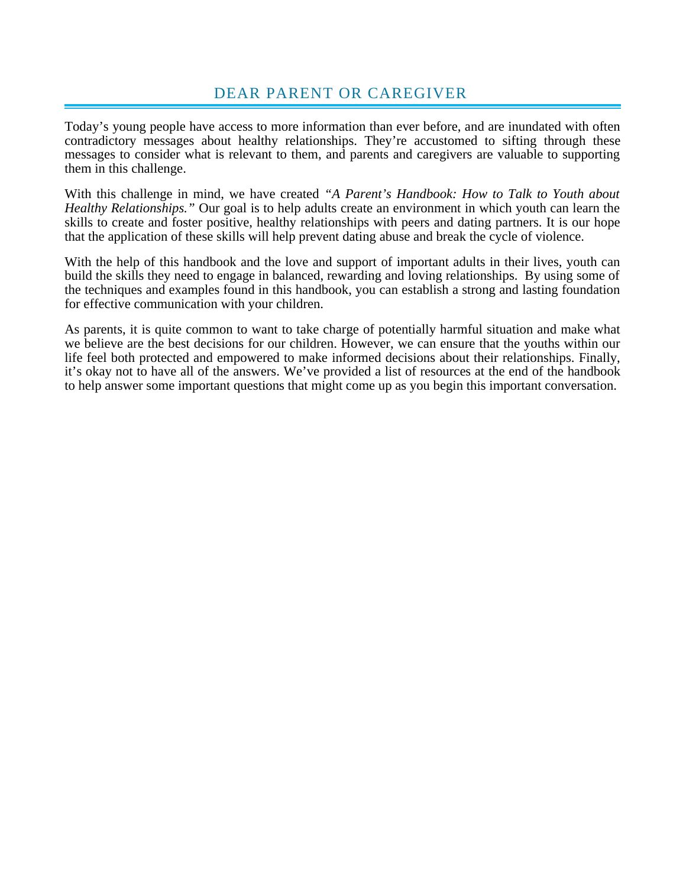# DEAR PARENT OR CAREGIVER

Today's young people have access to more information than ever before, and are inundated with often contradictory messages about healthy relationships. They're accustomed to sifting through these messages to consider what is relevant to them, and parents and caregivers are valuable to supporting them in this challenge.

With this challenge in mind, we have created *"A Parent's Handbook: How to Talk to Youth about Healthy Relationships."* Our goal is to help adults create an environment in which youth can learn the skills to create and foster positive, healthy relationships with peers and dating partners. It is our hope that the application of these skills will help prevent dating abuse and break the cycle of violence.

With the help of this handbook and the love and support of important adults in their lives, youth can build the skills they need to engage in balanced, rewarding and loving relationships. By using some of the techniques and examples found in this handbook, you can establish a strong and lasting foundation for effective communication with your children.

As parents, it is quite common to want to take charge of potentially harmful situation and make what we believe are the best decisions for our children. However, we can ensure that the youths within our life feel both protected and empowered to make informed decisions about their relationships. Finally, it's okay not to have all of the answers. We've provided a list of resources at the end of the handbook to help answer some important questions that might come up as you begin this important conversation.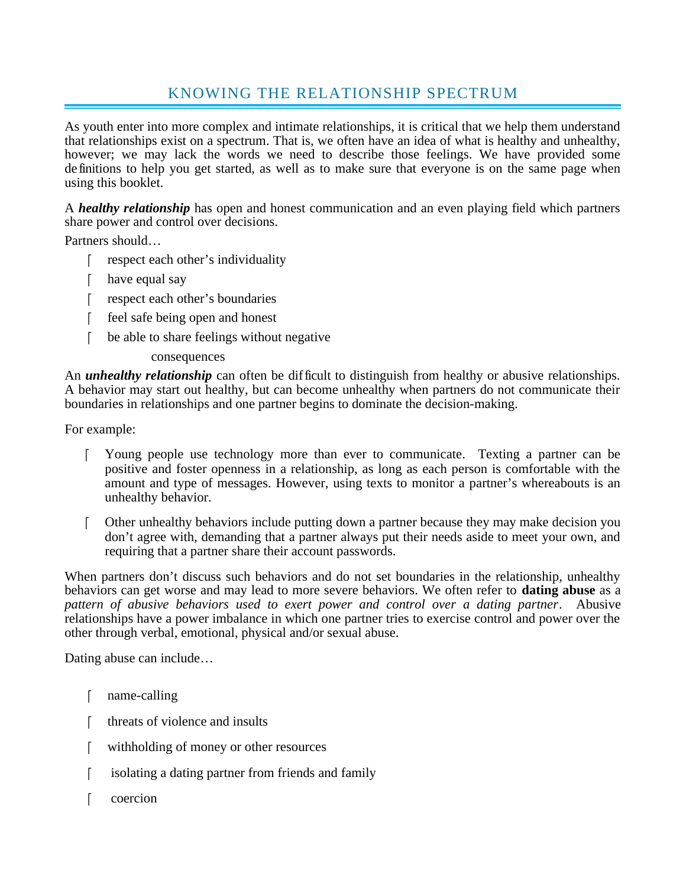# KNOWING THE RELATIONSHIP SPECTRUM

As youth enter into more complex and intimate relationships, it is critical that we help them understand that relationships exist on a spectrum. That is, we often have an idea of what is healthy and unhealthy, however; we may lack the words we need to describe those feelings. We have provided some definitions to help you get started, as well as to make sure that everyone is on the same page when using this booklet.

A *healthy relationship* has open and honest communication and an even playing field which partners share power and control over decisions.

Partners should…

- respect each other's individuality
- [ have equal say
- sample respect each other's boundaries
- f feel safe being open and honest
- be able to share feelings without negative

### consequences

An *unhealthy relationship* can often be difficult to distinguish from healthy or abusive relationships. A behavior may start out healthy, but can become unhealthy when partners do not communicate their boundaries in relationships and one partner begins to dominate the decision-making.

For example:

- Young people use technology more than ever to communicate. Texting a partner can be positive and foster openness in a relationship, as long as each person is comfortable with the amount and type of messages. However, using texts to monitor a partner's whereabouts is an unhealthy behavior.
- Other unhealthy behaviors include putting down a partner because they may make decision you don't agree with, demanding that a partner always put their needs aside to meet your own, and requiring that a partner share their account passwords.

When partners don't discuss such behaviors and do not set boundaries in the relationship, unhealthy behaviors can get worse and may lead to more severe behaviors. We often refer to **dating abuse** as a *pattern of abusive behaviors used to exert power and control over a dating partner*. Abusive relationships have a power imbalance in which one partner tries to exercise control and power over the other through verbal, emotional, physical and/or sexual abuse.

Dating abuse can include…

- [ name-calling
- [ threats of violence and insults]
- withholding of money or other resources
- isolating a dating partner from friends and family
- coercion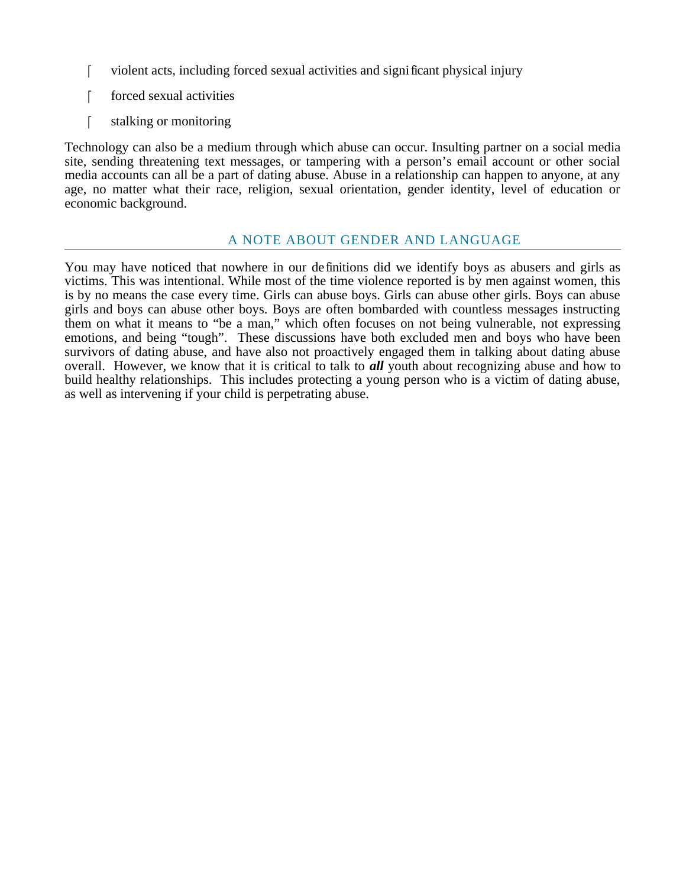- violent acts, including forced sexual activities and significant physical injury
- forced sexual activities
- stalking or monitoring

Technology can also be a medium through which abuse can occur. Insulting partner on a social media site, sending threatening text messages, or tampering with a person's email account or other social media accounts can all be a part of dating abuse. Abuse in a relationship can happen to anyone, at any age, no matter what their race, religion, sexual orientation, gender identity, level of education or economic background.

## A NOTE ABOUT GENDER AND LANGUAGE

You may have noticed that nowhere in our definitions did we identify boys as abusers and girls as victims. This was intentional. While most of the time violence reported is by men against women, this is by no means the case every time. Girls can abuse boys. Girls can abuse other girls. Boys can abuse girls and boys can abuse other boys. Boys are often bombarded with countless messages instructing them on what it means to "be a man," which often focuses on not being vulnerable, not expressing emotions, and being "tough". These discussions have both excluded men and boys who have been survivors of dating abuse, and have also not proactively engaged them in talking about dating abuse overall. However, we know that it is critical to talk to *all* youth about recognizing abuse and how to build healthy relationships. This includes protecting a young person who is a victim of dating abuse, as well as intervening if your child is perpetrating abuse.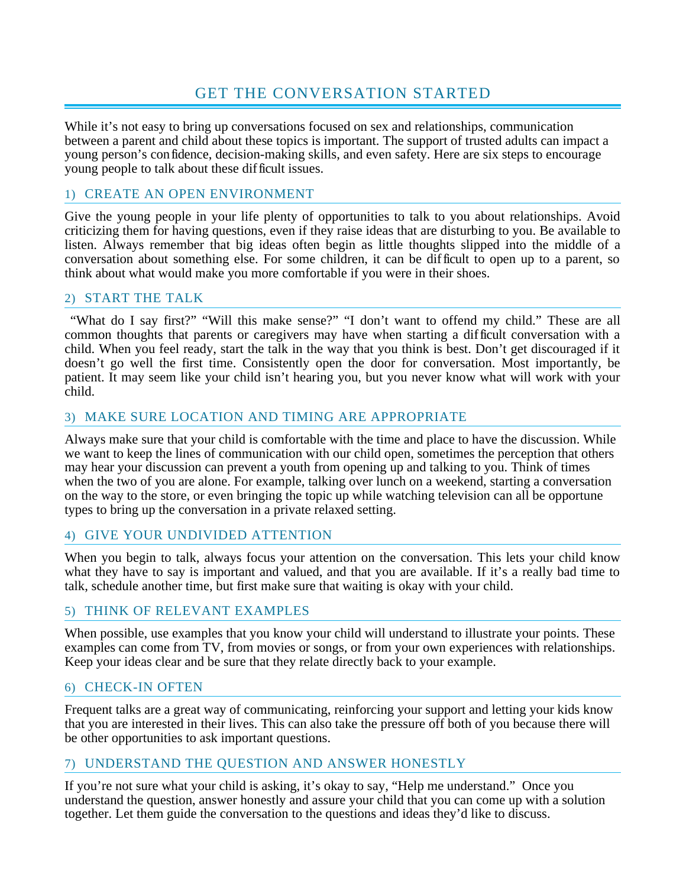# GET THE CONVERSATION STARTED

While it's not easy to bring up conversations focused on sex and relationships, communication between a parent and child about these topics is important. The support of trusted adults can impact a young person's confidence, decision-making skills, and even safety. Here are six steps to encourage young people to talk about these difficult issues.

## 1) CREATE AN OPEN ENVIRONMENT

Give the young people in your life plenty of opportunities to talk to you about relationships. Avoid criticizing them for having questions, even if they raise ideas that are disturbing to you. Be available to listen. Always remember that big ideas often begin as little thoughts slipped into the middle of a conversation about something else. For some children, it can be difficult to open up to a parent, so think about what would make you more comfortable if you were in their shoes.

## 2) START THE TALK

 "What do I say first?" "Will this make sense?" "I don't want to offend my child." These are all common thoughts that parents or caregivers may have when starting a difficult conversation with a child. When you feel ready, start the talk in the way that you think is best. Don't get discouraged if it doesn't go well the first time. Consistently open the door for conversation. Most importantly, be patient. It may seem like your child isn't hearing you, but you never know what will work with your child.

## 3) MAKE SURE LOCATION AND TIMING ARE APPROPRIATE

Always make sure that your child is comfortable with the time and place to have the discussion. While we want to keep the lines of communication with our child open, sometimes the perception that others may hear your discussion can prevent a youth from opening up and talking to you. Think of times when the two of you are alone. For example, talking over lunch on a weekend, starting a conversation on the way to the store, or even bringing the topic up while watching television can all be opportune types to bring up the conversation in a private relaxed setting.

## 4) GIVE YOUR UNDIVIDED ATTENTION

When you begin to talk, always focus your attention on the conversation. This lets your child know what they have to say is important and valued, and that you are available. If it's a really bad time to talk, schedule another time, but first make sure that waiting is okay with your child.

## 5) THINK OF RELEVANT EXAMPLES

When possible, use examples that you know your child will understand to illustrate your points. These examples can come from TV, from movies or songs, or from your own experiences with relationships. Keep your ideas clear and be sure that they relate directly back to your example.

## 6) CHECK-IN OFTEN

Frequent talks are a great way of communicating, reinforcing your support and letting your kids know that you are interested in their lives. This can also take the pressure off both of you because there will be other opportunities to ask important questions.

## 7) UNDERSTAND THE QUESTION AND ANSWER HONESTLY

If you're not sure what your child is asking, it's okay to say, "Help me understand." Once you understand the question, answer honestly and assure your child that you can come up with a solution together. Let them guide the conversation to the questions and ideas they'd like to discuss.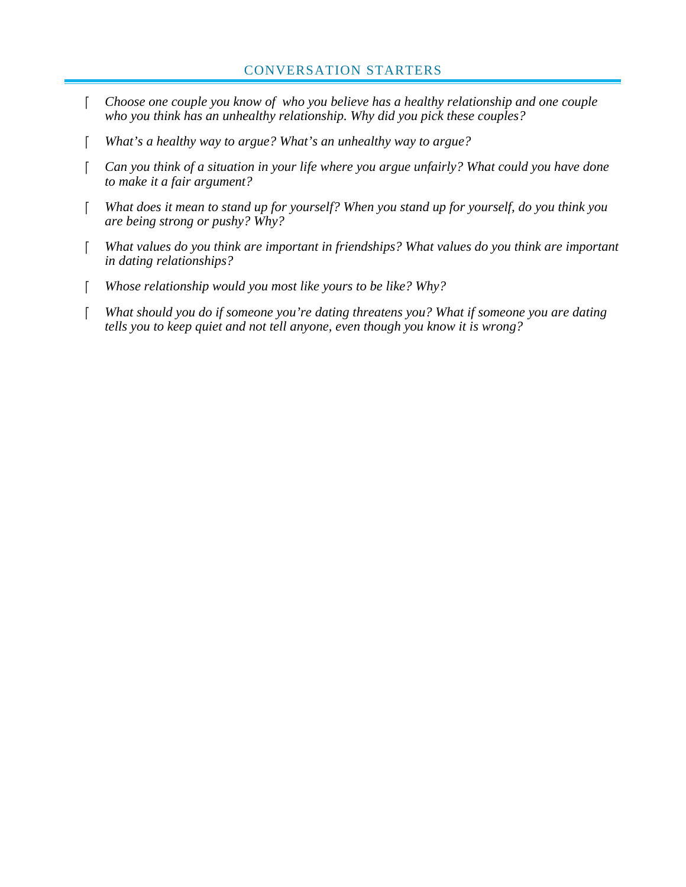- *Choose one couple you know of who you believe has a healthy relationship and one couple who you think has an unhealthy relationship. Why did you pick these couples?*
- *What's a healthy way to argue? What's an unhealthy way to argue?*
- *Can you think of a situation in your life where you argue unfairly? What could you have done to make it a fair argument?*
- *What does it mean to stand up for yourself? When you stand up for yourself, do you think you are being strong or pushy? Why?*
- *What values do you think are important in friendships? What values do you think are important in dating relationships?*
- *Whose relationship would you most like yours to be like? Why?*
- *What should you do if someone you're dating threatens you? What if someone you are dating tells you to keep quiet and not tell anyone, even though you know it is wrong?*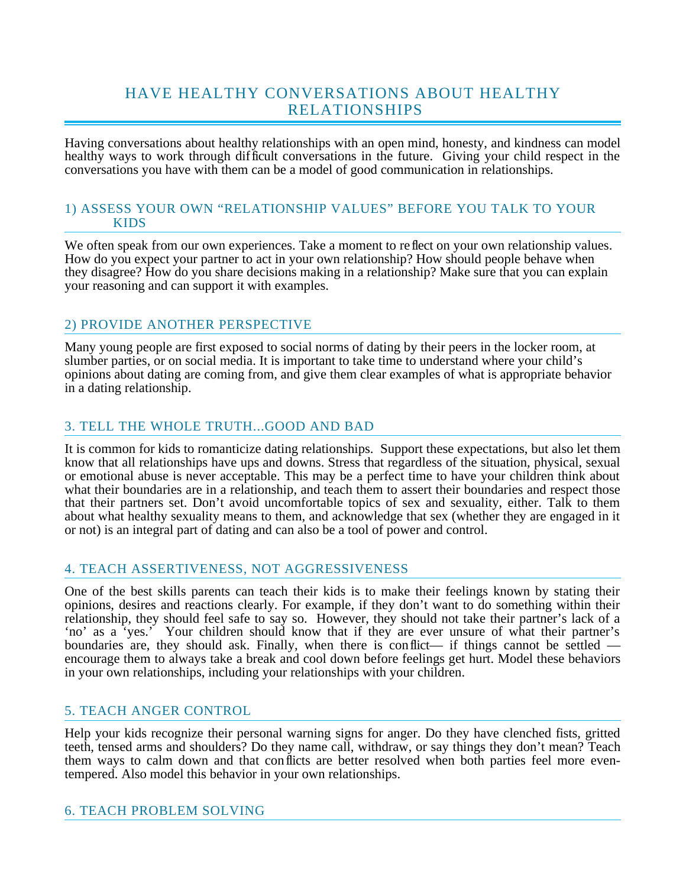# HAVE HEALTHY CONVERSATIONS ABOUT HEALTHY RELATIONSHIPS

Having conversations about healthy relationships with an open mind, honesty, and kindness can model healthy ways to work through difficult conversations in the future. Giving your child respect in the conversations you have with them can be a model of good communication in relationships.

### 1) ASSESS YOUR OWN "RELATIONSHIP VALUES" BEFORE YOU TALK TO YOUR KIDS

We often speak from our own experiences. Take a moment to reflect on your own relationship values. How do you expect your partner to act in your own relationship? How should people behave when they disagree? How do you share decisions making in a relationship? Make sure that you can explain your reasoning and can support it with examples.

## 2) PROVIDE ANOTHER PERSPECTIVE

Many young people are first exposed to social norms of dating by their peers in the locker room, at slumber parties, or on social media. It is important to take time to understand where your child's opinions about dating are coming from, and give them clear examples of what is appropriate behavior in a dating relationship.

## 3. TELL THE WHOLE TRUTH...GOOD AND BAD

It is common for kids to romanticize dating relationships. Support these expectations, but also let them know that all relationships have ups and downs. Stress that regardless of the situation, physical, sexual or emotional abuse is never acceptable. This may be a perfect time to have your children think about what their boundaries are in a relationship, and teach them to assert their boundaries and respect those that their partners set. Don't avoid uncomfortable topics of sex and sexuality, either. Talk to them about what healthy sexuality means to them, and acknowledge that sex (whether they are engaged in it or not) is an integral part of dating and can also be a tool of power and control.

### 4. TEACH ASSERTIVENESS, NOT AGGRESSIVENESS

One of the best skills parents can teach their kids is to make their feelings known by stating their opinions, desires and reactions clearly. For example, if they don't want to do something within their relationship, they should feel safe to say so. However, they should not take their partner's lack of a 'no' as a 'yes.' Your children should know that if they are ever unsure of what their partner's boundaries are, they should ask. Finally, when there is conflict— if things cannot be settled encourage them to always take a break and cool down before feelings get hurt. Model these behaviors in your own relationships, including your relationships with your children.

### 5. TEACH ANGER CONTROL

Help your kids recognize their personal warning signs for anger. Do they have clenched fists, gritted teeth, tensed arms and shoulders? Do they name call, withdraw, or say things they don't mean? Teach them ways to calm down and that conflicts are better resolved when both parties feel more eventempered. Also model this behavior in your own relationships.

### 6. TEACH PROBLEM SOLVING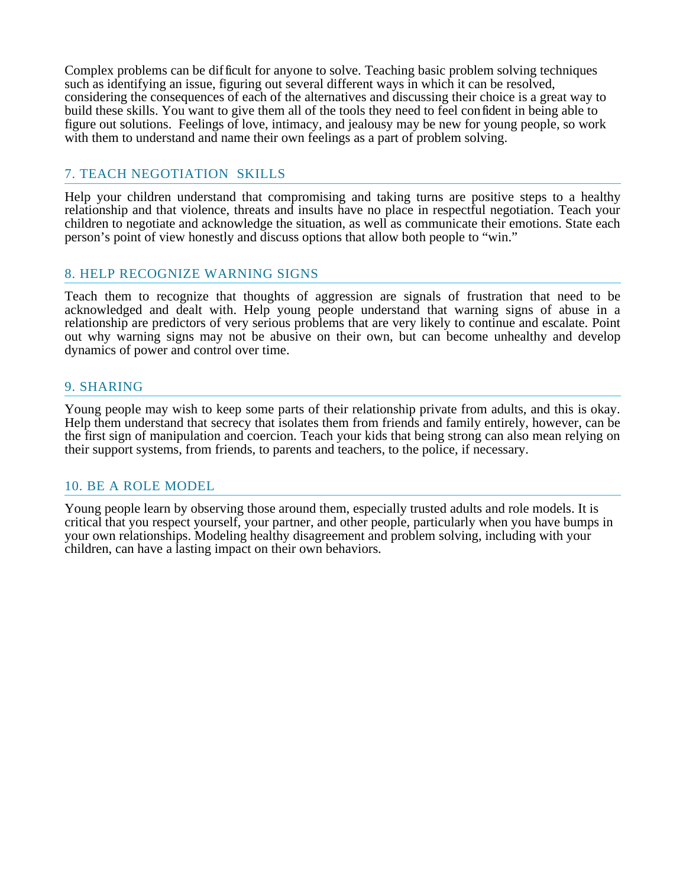Complex problems can be difficult for anyone to solve. Teaching basic problem solving techniques such as identifying an issue, figuring out several different ways in which it can be resolved, considering the consequences of each of the alternatives and discussing their choice is a great way to build these skills. You want to give them all of the tools they need to feel confident in being able to figure out solutions. Feelings of love, intimacy, and jealousy may be new for young people, so work with them to understand and name their own feelings as a part of problem solving.

### 7. TEACH NEGOTIATION SKILLS

Help your children understand that compromising and taking turns are positive steps to a healthy relationship and that violence, threats and insults have no place in respectful negotiation. Teach your children to negotiate and acknowledge the situation, as well as communicate their emotions. State each person's point of view honestly and discuss options that allow both people to "win."

### 8. HELP RECOGNIZE WARNING SIGNS

Teach them to recognize that thoughts of aggression are signals of frustration that need to be acknowledged and dealt with. Help young people understand that warning signs of abuse in a relationship are predictors of very serious problems that are very likely to continue and escalate. Point out why warning signs may not be abusive on their own, but can become unhealthy and develop dynamics of power and control over time.

### 9. SHARING

Young people may wish to keep some parts of their relationship private from adults, and this is okay. Help them understand that secrecy that isolates them from friends and family entirely, however, can be the first sign of manipulation and coercion. Teach your kids that being strong can also mean relying on their support systems, from friends, to parents and teachers, to the police, if necessary.

### 10. BE A ROLE MODEL

Young people learn by observing those around them, especially trusted adults and role models. It is critical that you respect yourself, your partner, and other people, particularly when you have bumps in your own relationships. Modeling healthy disagreement and problem solving, including with your children, can have a lasting impact on their own behaviors.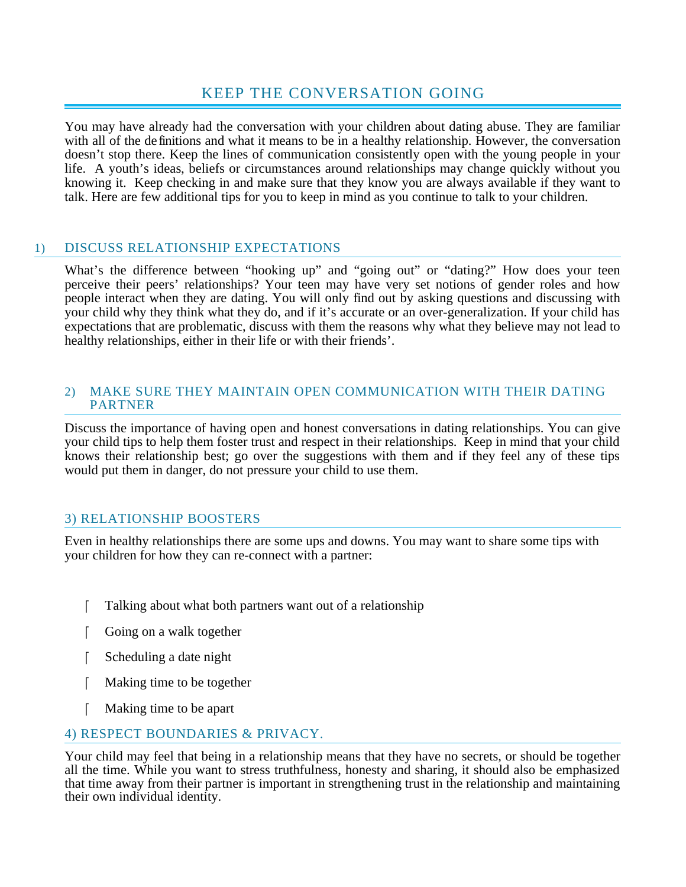# KEEP THE CONVERSATION GOING

You may have already had the conversation with your children about dating abuse. They are familiar with all of the definitions and what it means to be in a healthy relationship. However, the conversation doesn't stop there. Keep the lines of communication consistently open with the young people in your life. A youth's ideas, beliefs or circumstances around relationships may change quickly without you knowing it. Keep checking in and make sure that they know you are always available if they want to talk. Here are few additional tips for you to keep in mind as you continue to talk to your children.

## 1) DISCUSS RELATIONSHIP EXPECTATIONS

What's the difference between "hooking up" and "going out" or "dating?" How does your teen perceive their peers' relationships? Your teen may have very set notions of gender roles and how people interact when they are dating. You will only find out by asking questions and discussing with your child why they think what they do, and if it's accurate or an over-generalization. If your child has expectations that are problematic, discuss with them the reasons why what they believe may not lead to healthy relationships, either in their life or with their friends'.

### 2) MAKE SURE THEY MAINTAIN OPEN COMMUNICATION WITH THEIR DATING PARTNER

Discuss the importance of having open and honest conversations in dating relationships. You can give your child tips to help them foster trust and respect in their relationships. Keep in mind that your child knows their relationship best; go over the suggestions with them and if they feel any of these tips would put them in danger, do not pressure your child to use them.

## 3) RELATIONSHIP BOOSTERS

Even in healthy relationships there are some ups and downs. You may want to share some tips with your children for how they can re-connect with a partner:

- Talking about what both partners want out of a relationship
- Soing on a walk together
- Scheduling a date night
- Making time to be together
- Making time to be apart

## 4) RESPECT BOUNDARIES & PRIVACY.

Your child may feel that being in a relationship means that they have no secrets, or should be together all the time. While you want to stress truthfulness, honesty and sharing, it should also be emphasized that time away from their partner is important in strengthening trust in the relationship and maintaining their own individual identity.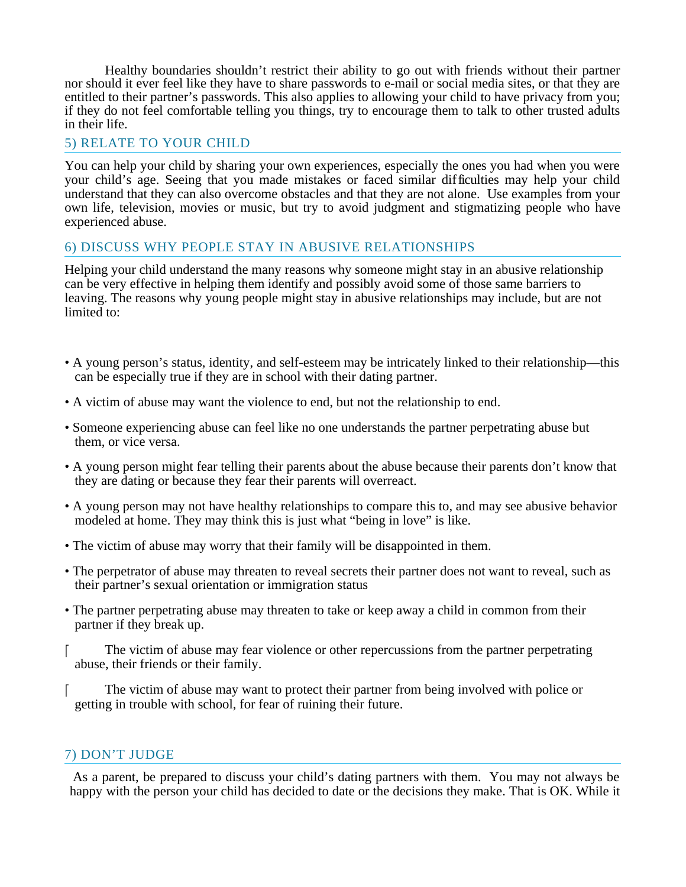Healthy boundaries shouldn't restrict their ability to go out with friends without their partner nor should it ever feel like they have to share passwords to e-mail or social media sites, or that they are entitled to their partner's passwords. This also applies to allowing your child to have privacy from you; if they do not feel comfortable telling you things, try to encourage them to talk to other trusted adults in their life.

### 5) RELATE TO YOUR CHILD

You can help your child by sharing your own experiences, especially the ones you had when you were your child's age. Seeing that you made mistakes or faced similar difficulties may help your child understand that they can also overcome obstacles and that they are not alone. Use examples from your own life, television, movies or music, but try to avoid judgment and stigmatizing people who have experienced abuse.

### 6) DISCUSS WHY PEOPLE STAY IN ABUSIVE RELATIONSHIPS

Helping your child understand the many reasons why someone might stay in an abusive relationship can be very effective in helping them identify and possibly avoid some of those same barriers to leaving. The reasons why young people might stay in abusive relationships may include, but are not limited to:

- A young person's status, identity, and self-esteem may be intricately linked to their relationship—this can be especially true if they are in school with their dating partner.
- A victim of abuse may want the violence to end, but not the relationship to end.
- Someone experiencing abuse can feel like no one understands the partner perpetrating abuse but them, or vice versa.
- A young person might fear telling their parents about the abuse because their parents don't know that they are dating or because they fear their parents will overreact.
- A young person may not have healthy relationships to compare this to, and may see abusive behavior modeled at home. They may think this is just what "being in love" is like.
- The victim of abuse may worry that their family will be disappointed in them.
- The perpetrator of abuse may threaten to reveal secrets their partner does not want to reveal, such as their partner's sexual orientation or immigration status
- The partner perpetrating abuse may threaten to take or keep away a child in common from their partner if they break up.
- The victim of abuse may fear violence or other repercussions from the partner perpetrating abuse, their friends or their family.
- The victim of abuse may want to protect their partner from being involved with police or getting in trouble with school, for fear of ruining their future.

### 7) DON'T JUDGE

 As a parent, be prepared to discuss your child's dating partners with them. You may not always be happy with the person your child has decided to date or the decisions they make. That is OK. While it